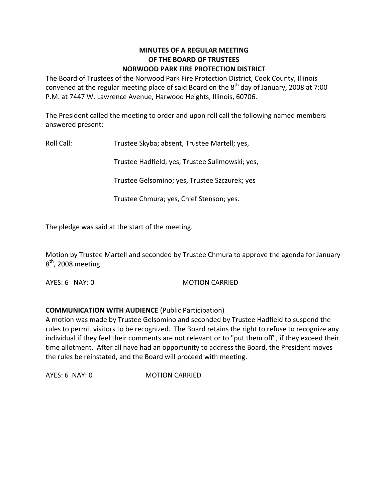#### **MINUTES OF A REGULAR MEETING OF THE BOARD OF TRUSTEES NORWOOD PARK FIRE PROTECTION DISTRICT**

The Board of Trustees of the Norwood Park Fire Protection District, Cook County, Illinois convened at the regular meeting place of said Board on the  $8^{\text{th}}$  day of January, 2008 at 7:00 P.M. at 7447 W. Lawrence Avenue, Harwood Heights, Illinois, 60706.

The President called the meeting to order and upon roll call the following named members answered present:

Roll Call: Trustee Skyba; absent, Trustee Martell; yes,

Trustee Hadfield; yes, Trustee Sulimowski; yes,

Trustee Gelsomino; yes, Trustee Szczurek; yes

Trustee Chmura; yes, Chief Stenson; yes.

The pledge was said at the start of the meeting.

Motion by Trustee Martell and seconded by Trustee Chmura to approve the agenda for January 8<sup>th</sup>, 2008 meeting.

AYES: 6 NAY: 0 MOTION CARRIED

# **COMMUNICATION WITH AUDIENCE** (Public Participation)

A motion was made by Trustee Gelsomino and seconded by Trustee Hadfield to suspend the rules to permit visitors to be recognized. The Board retains the right to refuse to recognize any individual if they feel their comments are not relevant or to "put them off", if they exceed their time allotment. After all have had an opportunity to address the Board, the President moves the rules be reinstated, and the Board will proceed with meeting.

AYES: 6 NAY: 0 MOTION CARRIED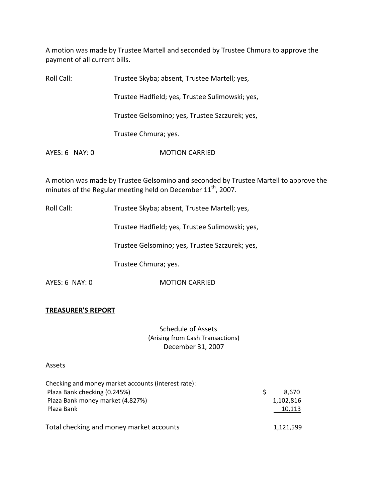A motion was made by Trustee Martell and seconded by Trustee Chmura to approve the payment of all current bills.

| Roll Call:     | Trustee Skyba; absent, Trustee Martell; yes,    |
|----------------|-------------------------------------------------|
|                | Trustee Hadfield; yes, Trustee Sulimowski; yes, |
|                | Trustee Gelsomino; yes, Trustee Szczurek; yes,  |
|                | Trustee Chmura; yes.                            |
| AYES: 6 NAY: 0 | <b>MOTION CARRIED</b>                           |
|                |                                                 |

A motion was made by Trustee Gelsomino and seconded by Trustee Martell to approve the minutes of the Regular meeting held on December  $11^{\text{th}}$ , 2007.

Roll Call: Trustee Skyba; absent, Trustee Martell; yes,

Trustee Hadfield; yes, Trustee Sulimowski; yes,

Trustee Gelsomino; yes, Trustee Szczurek; yes,

Trustee Chmura; yes.

AYES: 6 NAY: 0 **MOTION CARRIED** 

#### **TREASURER'S REPORT**

Schedule of Assets (Arising from Cash Transactions) December 31, 2007

#### Assets

| Checking and money market accounts (interest rate): |             |
|-----------------------------------------------------|-------------|
| Plaza Bank checking (0.245%)                        | S.<br>8.670 |
| Plaza Bank money market (4.827%)                    | 1,102,816   |
| Plaza Bank                                          | 10,113      |
| Total checking and money market accounts            | 1,121,599   |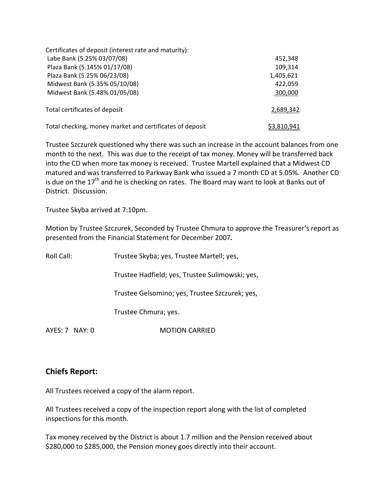| Certificates of deposit (interest rate and maturity):    |             |
|----------------------------------------------------------|-------------|
| Labe Bank (5.25% 03/07/08)                               | 452,348     |
| Plaza Bank (5.145% 01/17/08)                             | 109,314     |
| Plaza Bank (5.25% 06/23/08)                              | 1,405,621   |
| Midwest Bank (5.35% 05/10/08)                            | 422,059     |
| Midwest Bank (5.48% 01/05/08)                            | 300,000     |
| Total certificates of deposit                            | 2,689,342   |
| Total checking, money market and certificates of deposit | \$3,810,941 |

Trustee Szczurek questioned why there was such an increase in the account balances from one month to the next. This was due to the receipt of tax money. Money will be transferred back into the CD when more tax money is received. Trustee Martell explained that a Midwest CD matured and was transferred to Parkway Bank who issued a 7 month CD at 5.05%. Another CD is due on the  $17<sup>th</sup>$  and he is checking on rates. The Board may want to look at Banks out of District. Discussion.

Trustee Skyba arrived at 7:10pm.

Motion by Trustee Szczurek, Seconded by Trustee Chmura to approve the Treasurer's report as presented from the Financial Statement for December 2007**.**

| Roll Call:      | Trustee Skyba; yes, Trustee Martell; yes,       |
|-----------------|-------------------------------------------------|
|                 | Trustee Hadfield; yes, Trustee Sulimowski; yes, |
|                 | Trustee Gelsomino; yes, Trustee Szczurek; yes,  |
|                 | Trustee Chmura; yes.                            |
| $AYFS:7$ NAY: 0 | MOTION CARRIFD                                  |

# **Chiefs Report:**

All Trustees received a copy of the alarm report.

All Trustees received a copy of the inspection report along with the list of completed inspections for this month.

Tax money received by the District is about 1.7 million and the Pension received about \$280,000 to \$285,000, the Pension money goes directly into their account.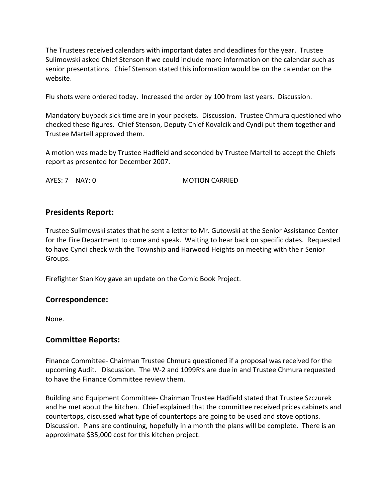The Trustees received calendars with important dates and deadlines for the year. Trustee Sulimowski asked Chief Stenson if we could include more information on the calendar such as senior presentations. Chief Stenson stated this information would be on the calendar on the website.

Flu shots were ordered today. Increased the order by 100 from last years. Discussion.

Mandatory buyback sick time are in your packets. Discussion. Trustee Chmura questioned who checked these figures. Chief Stenson, Deputy Chief Kovalcik and Cyndi put them together and Trustee Martell approved them.

A motion was made by Trustee Hadfield and seconded by Trustee Martell to accept the Chiefs report as presented for December 2007.

AYES: 7 NAY: 0 **MOTION CARRIED** 

# **Presidents Report:**

Trustee Sulimowski states that he sent a letter to Mr. Gutowski at the Senior Assistance Center for the Fire Department to come and speak. Waiting to hear back on specific dates. Requested to have Cyndi check with the Township and Harwood Heights on meeting with their Senior Groups.

Firefighter Stan Koy gave an update on the Comic Book Project.

# **Correspondence:**

None.

# **Committee Reports:**

Finance Committee‐ Chairman Trustee Chmura questioned if a proposal was received for the upcoming Audit. Discussion. The W‐2 and 1099R's are due in and Trustee Chmura requested to have the Finance Committee review them.

Building and Equipment Committee‐ Chairman Trustee Hadfield stated that Trustee Szczurek and he met about the kitchen. Chief explained that the committee received prices cabinets and countertops, discussed what type of countertops are going to be used and stove options. Discussion. Plans are continuing, hopefully in a month the plans will be complete. There is an approximate \$35,000 cost for this kitchen project.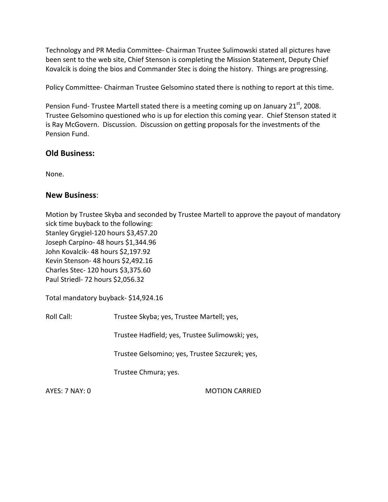Technology and PR Media Committee‐ Chairman Trustee Sulimowski stated all pictures have been sent to the web site, Chief Stenson is completing the Mission Statement, Deputy Chief Kovalcik is doing the bios and Commander Stec is doing the history. Things are progressing.

Policy Committee‐ Chairman Trustee Gelsomino stated there is nothing to report at this time.

Pension Fund- Trustee Martell stated there is a meeting coming up on January 21<sup>st</sup>, 2008. Trustee Gelsomino questioned who is up for election this coming year. Chief Stenson stated it is Ray McGovern. Discussion. Discussion on getting proposals for the investments of the Pension Fund.

# **Old Business:**

None.

# **New Business**:

Motion by Trustee Skyba and seconded by Trustee Martell to approve the payout of mandatory sick time buyback to the following: Stanley Grygiel‐120 hours \$3,457.20 Joseph Carpino- 48 hours \$1,344.96 John Kovalcik‐ 48 hours \$2,197.92 Kevin Stenson‐ 48 hours \$2,492.16 Charles Stec‐ 120 hours \$3,375.60 Paul Striedl‐ 72 hours \$2,056.32

Total mandatory buyback‐ \$14,924.16

Roll Call: Trustee Skyba; yes, Trustee Martell; yes,

Trustee Hadfield; yes, Trustee Sulimowski; yes,

Trustee Gelsomino; yes, Trustee Szczurek; yes,

Trustee Chmura; yes.

AYES: 7 NAY: 0 MOTION CARRIED